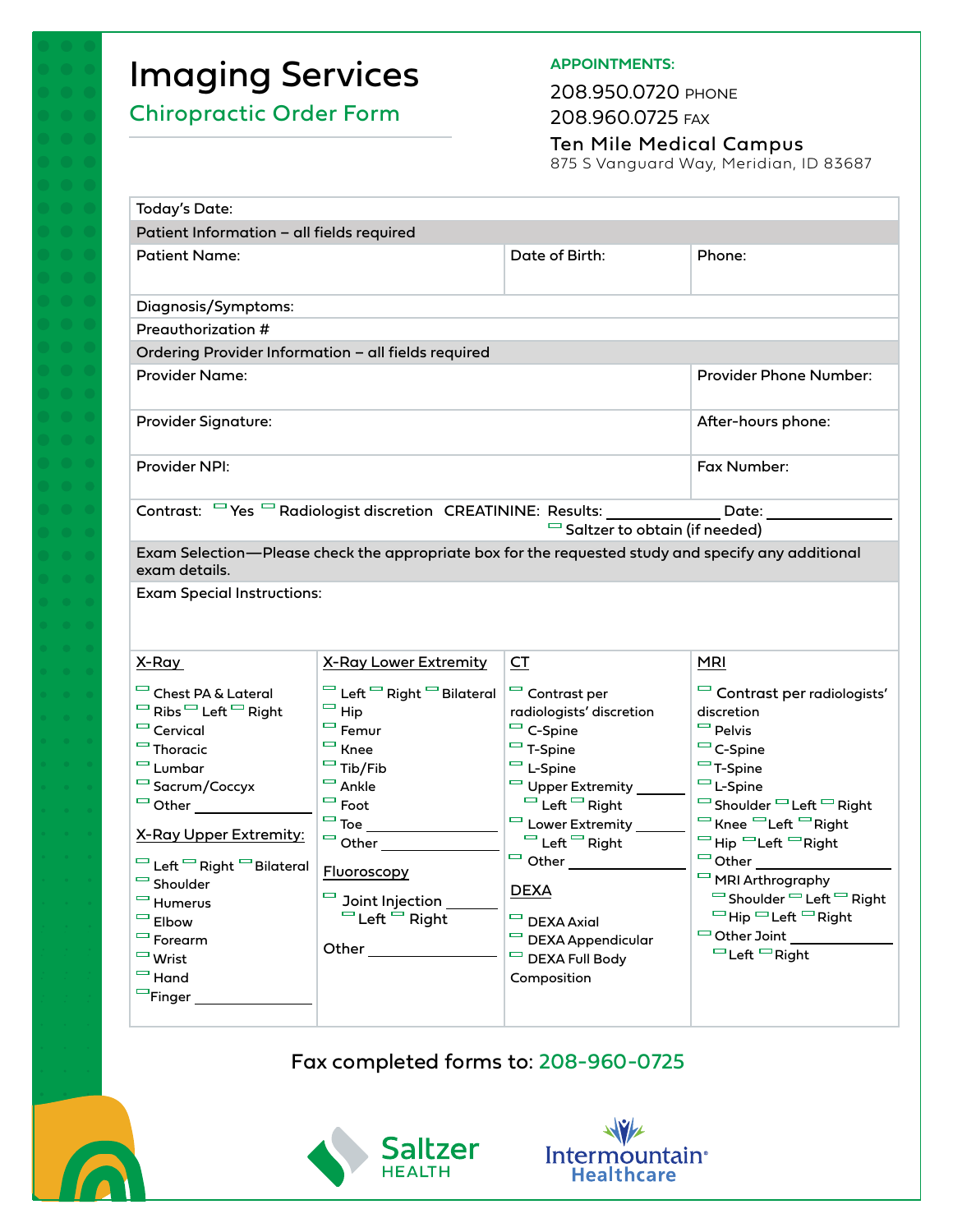# Imaging Services

# Chiropractic Order Form

## **APPOINTMENTS:**

208.950.0720 PHONE 208.960.0725 FAX

Ten Mile Medical Campus

875 S Vanguard Way, Meridian, ID 83687

| <b>Today's Date:</b>                                                                                                                                                                                                                                                                                                                      |                                                                                                                                                                                                                                                                                                                                                                                                                                 |                                                                                                                                                                                                                                                                                                    |                                                                                                                                                                                                                                                                                                                                                                             |
|-------------------------------------------------------------------------------------------------------------------------------------------------------------------------------------------------------------------------------------------------------------------------------------------------------------------------------------------|---------------------------------------------------------------------------------------------------------------------------------------------------------------------------------------------------------------------------------------------------------------------------------------------------------------------------------------------------------------------------------------------------------------------------------|----------------------------------------------------------------------------------------------------------------------------------------------------------------------------------------------------------------------------------------------------------------------------------------------------|-----------------------------------------------------------------------------------------------------------------------------------------------------------------------------------------------------------------------------------------------------------------------------------------------------------------------------------------------------------------------------|
| Patient Information - all fields required                                                                                                                                                                                                                                                                                                 |                                                                                                                                                                                                                                                                                                                                                                                                                                 |                                                                                                                                                                                                                                                                                                    |                                                                                                                                                                                                                                                                                                                                                                             |
| <b>Patient Name:</b>                                                                                                                                                                                                                                                                                                                      |                                                                                                                                                                                                                                                                                                                                                                                                                                 | Date of Birth:                                                                                                                                                                                                                                                                                     | Phone:                                                                                                                                                                                                                                                                                                                                                                      |
| Diagnosis/Symptoms:                                                                                                                                                                                                                                                                                                                       |                                                                                                                                                                                                                                                                                                                                                                                                                                 |                                                                                                                                                                                                                                                                                                    |                                                                                                                                                                                                                                                                                                                                                                             |
| Preauthorization #                                                                                                                                                                                                                                                                                                                        |                                                                                                                                                                                                                                                                                                                                                                                                                                 |                                                                                                                                                                                                                                                                                                    |                                                                                                                                                                                                                                                                                                                                                                             |
| Ordering Provider Information - all fields required                                                                                                                                                                                                                                                                                       |                                                                                                                                                                                                                                                                                                                                                                                                                                 |                                                                                                                                                                                                                                                                                                    |                                                                                                                                                                                                                                                                                                                                                                             |
| <b>Provider Name:</b>                                                                                                                                                                                                                                                                                                                     |                                                                                                                                                                                                                                                                                                                                                                                                                                 |                                                                                                                                                                                                                                                                                                    | <b>Provider Phone Number:</b>                                                                                                                                                                                                                                                                                                                                               |
| <b>Provider Signature:</b>                                                                                                                                                                                                                                                                                                                |                                                                                                                                                                                                                                                                                                                                                                                                                                 |                                                                                                                                                                                                                                                                                                    | After-hours phone:                                                                                                                                                                                                                                                                                                                                                          |
| Provider NPI:                                                                                                                                                                                                                                                                                                                             |                                                                                                                                                                                                                                                                                                                                                                                                                                 |                                                                                                                                                                                                                                                                                                    | Fax Number:                                                                                                                                                                                                                                                                                                                                                                 |
| Contrast: <sup>T</sup> Yes <sup>T</sup> Radiologist discretion CREATININE: Results: Date: Date:<br>$\Box$ Saltzer to obtain (if needed)                                                                                                                                                                                                   |                                                                                                                                                                                                                                                                                                                                                                                                                                 |                                                                                                                                                                                                                                                                                                    |                                                                                                                                                                                                                                                                                                                                                                             |
| Exam Selection—Please check the appropriate box for the requested study and specify any additional<br>exam details.<br><b>Exam Special Instructions:</b>                                                                                                                                                                                  |                                                                                                                                                                                                                                                                                                                                                                                                                                 |                                                                                                                                                                                                                                                                                                    |                                                                                                                                                                                                                                                                                                                                                                             |
| X-Ray<br>Chest PA & Lateral<br>$\Box$ Ribs $\Box$ Left $\Box$ Right<br>$\Box$ Cervical<br>$\Box$ Thoracic<br>$\Box$ Lumbar<br>Sacrum/Coccyx<br>X-Ray Upper Extremity:<br>Left <sup>m</sup> Right <sup>m</sup> Bilateral<br>Shoulder<br>$\Box$ Humerus<br>$\Box$ Elbow<br>$\Box$ Forearm<br>$\Box$ Wrist<br>$\Box$ Hand<br>$\Box$ Finger _ | <b>X-Ray Lower Extremity</b><br>Left <sup>m</sup> Right <sup>m</sup> Bilateral<br>$=$ Hip<br>$\Box$ Femur<br>$\Box$ Knee<br>$\Box$ Tib/Fib<br>$\Box$ Ankle<br>$\Box$ Foot<br>$\Box$ Toe $\_\_$<br>$\Box$ Other $\Box$<br>Fluoroscopy<br>$\Box$ Joint Injection _<br>$\Box$ Left $\stackrel{\sim}{\Box}$ Right<br>Other the control of the control of the control of the control of the control of the control of the control of | CT<br>$\Box$ Contrast per<br>radiologists' discretion<br>$\Box$ C-Spine<br>$-$ T-Spine<br>$\Box$ L-Spine<br>Upper Extremity ____<br>$\Box$ Left $\Box$ Right<br>$\Box$ Left $\Box$ Right<br>$\Box$ Other<br><b>DEXA</b><br>$\Box$ DEXA Axial<br>DEXA Appendicular<br>DEXA Full Body<br>Composition | <b>MRI</b><br>Contrast per radiologists'<br>discretion<br>$\Box$ Pelvis<br>$\Box$ C-Spine<br>$-$ T-Spine<br>$\Box$ L-Spine<br><sup>□</sup> Shoulder □ Left □ Right<br>$\Box$ Knee $\Box$ Left $\Box$ Right<br>□ Hip □ Left □ Right<br>MRI Arthrography<br>$\Box$ Shoulder $\Box$ Left $\Box$ Right<br>□Hip □ Left □ Right<br>$\Box$ Other Joint<br>$\Box$ Left $\Box$ Right |

Fax completed forms to: [208-960-0725](mailto:sz_info@imail.org)